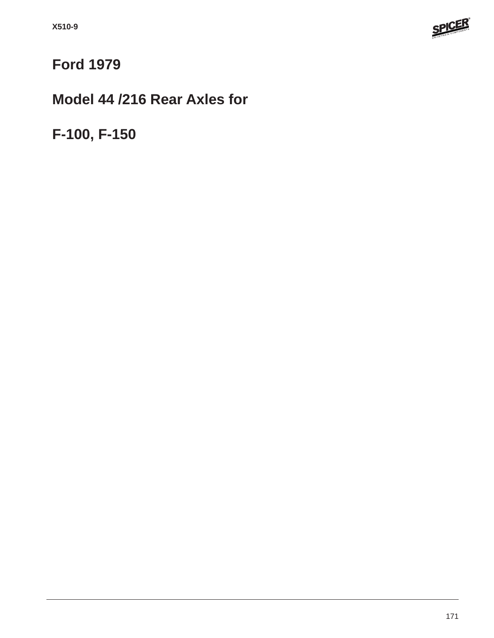

# **Ford 1979**

## **Model 44 /216 Rear Axles for**

**F-100, F-150**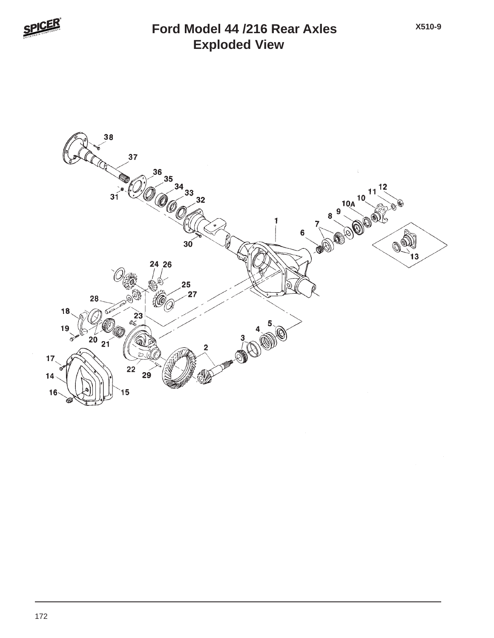

### **Exploded View Ford Model 44 /216 Rear Axles**